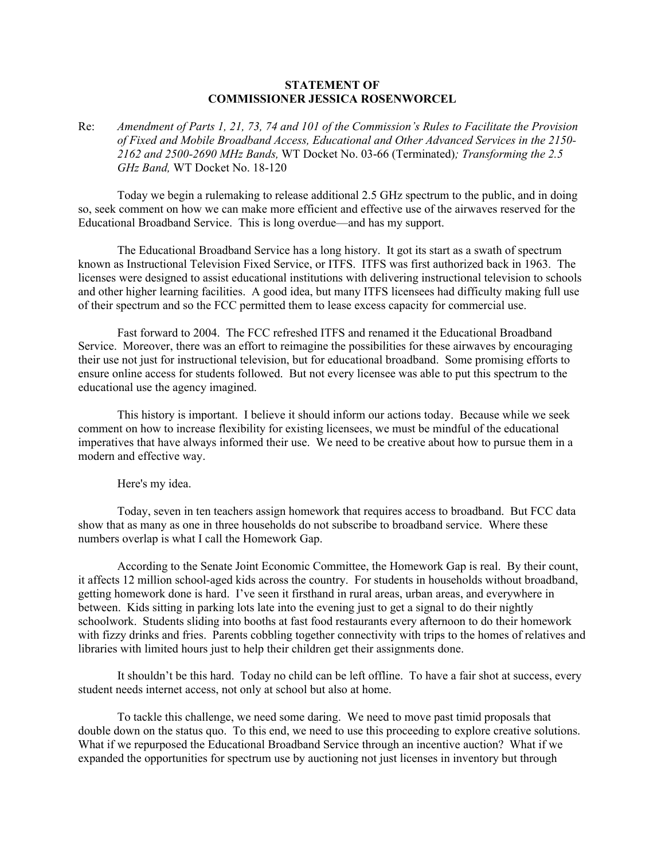## **STATEMENT OF COMMISSIONER JESSICA ROSENWORCEL**

Re: *Amendment of Parts 1, 21, 73, 74 and 101 of the Commission's Rules to Facilitate the Provision of Fixed and Mobile Broadband Access, Educational and Other Advanced Services in the 2150- 2162 and 2500-2690 MHz Bands,* WT Docket No. 03-66 (Terminated)*; Transforming the 2.5 GHz Band,* WT Docket No. 18-120

Today we begin a rulemaking to release additional 2.5 GHz spectrum to the public, and in doing so, seek comment on how we can make more efficient and effective use of the airwaves reserved for the Educational Broadband Service. This is long overdue—and has my support.

The Educational Broadband Service has a long history. It got its start as a swath of spectrum known as Instructional Television Fixed Service, or ITFS. ITFS was first authorized back in 1963. The licenses were designed to assist educational institutions with delivering instructional television to schools and other higher learning facilities. A good idea, but many ITFS licensees had difficulty making full use of their spectrum and so the FCC permitted them to lease excess capacity for commercial use.

Fast forward to 2004. The FCC refreshed ITFS and renamed it the Educational Broadband Service. Moreover, there was an effort to reimagine the possibilities for these airwaves by encouraging their use not just for instructional television, but for educational broadband. Some promising efforts to ensure online access for students followed. But not every licensee was able to put this spectrum to the educational use the agency imagined.

This history is important. I believe it should inform our actions today. Because while we seek comment on how to increase flexibility for existing licensees, we must be mindful of the educational imperatives that have always informed their use. We need to be creative about how to pursue them in a modern and effective way.

Here's my idea.

Today, seven in ten teachers assign homework that requires access to broadband. But FCC data show that as many as one in three households do not subscribe to broadband service. Where these numbers overlap is what I call the Homework Gap.

According to the Senate Joint Economic Committee, the Homework Gap is real. By their count, it affects 12 million school-aged kids across the country. For students in households without broadband, getting homework done is hard. I've seen it firsthand in rural areas, urban areas, and everywhere in between. Kids sitting in parking lots late into the evening just to get a signal to do their nightly schoolwork. Students sliding into booths at fast food restaurants every afternoon to do their homework with fizzy drinks and fries. Parents cobbling together connectivity with trips to the homes of relatives and libraries with limited hours just to help their children get their assignments done.

It shouldn't be this hard. Today no child can be left offline. To have a fair shot at success, every student needs internet access, not only at school but also at home.

To tackle this challenge, we need some daring. We need to move past timid proposals that double down on the status quo. To this end, we need to use this proceeding to explore creative solutions. What if we repurposed the Educational Broadband Service through an incentive auction? What if we expanded the opportunities for spectrum use by auctioning not just licenses in inventory but through